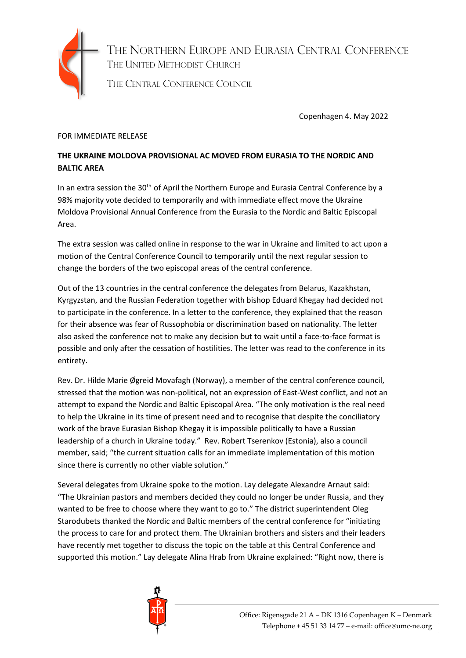

THE NORTHERN EUROPE AND EURASIA CENTRAL CONFERENCE THE UNITED METHODIST CHURCH

THE CENTRAL CONFERENCE COUNCIL

Copenhagen 4. May 2022

## FOR IMMEDIATE RELEASE

## **THE UKRAINE MOLDOVA PROVISIONAL AC MOVED FROM EURASIA TO THE NORDIC AND BALTIC AREA**

In an extra session the 30<sup>th</sup> of April the Northern Europe and Eurasia Central Conference by a 98% majority vote decided to temporarily and with immediate effect move the Ukraine Moldova Provisional Annual Conference from the Eurasia to the Nordic and Baltic Episcopal Area.

The extra session was called online in response to the war in Ukraine and limited to act upon a motion of the Central Conference Council to temporarily until the next regular session to change the borders of the two episcopal areas of the central conference.

Out of the 13 countries in the central conference the delegates from Belarus, Kazakhstan, Kyrgyzstan, and the Russian Federation together with bishop Eduard Khegay had decided not to participate in the conference. In a letter to the conference, they explained that the reason for their absence was fear of Russophobia or discrimination based on nationality. The letter also asked the conference not to make any decision but to wait until a face-to-face format is possible and only after the cessation of hostilities. The letter was read to the conference in its entirety.

Rev. Dr. Hilde Marie Øgreid Movafagh (Norway), a member of the central conference council, stressed that the motion was non-political, not an expression of East-West conflict, and not an attempt to expand the Nordic and Baltic Episcopal Area. "The only motivation is the real need to help the Ukraine in its time of present need and to recognise that despite the conciliatory work of the brave Eurasian Bishop Khegay it is impossible politically to have a Russian leadership of a church in Ukraine today." Rev. Robert Tserenkov (Estonia), also a council member, said; "the current situation calls for an immediate implementation of this motion since there is currently no other viable solution."

Several delegates from Ukraine spoke to the motion. Lay delegate Alexandre Arnaut said: "The Ukrainian pastors and members decided they could no longer be under Russia, and they wanted to be free to choose where they want to go to." The district superintendent Oleg Starodubets thanked the Nordic and Baltic members of the central conference for "initiating the process to care for and protect them. The Ukrainian brothers and sisters and their leaders have recently met together to discuss the topic on the table at this Central Conference and supported this motion." Lay delegate Alina Hrab from Ukraine explained: "Right now, there is